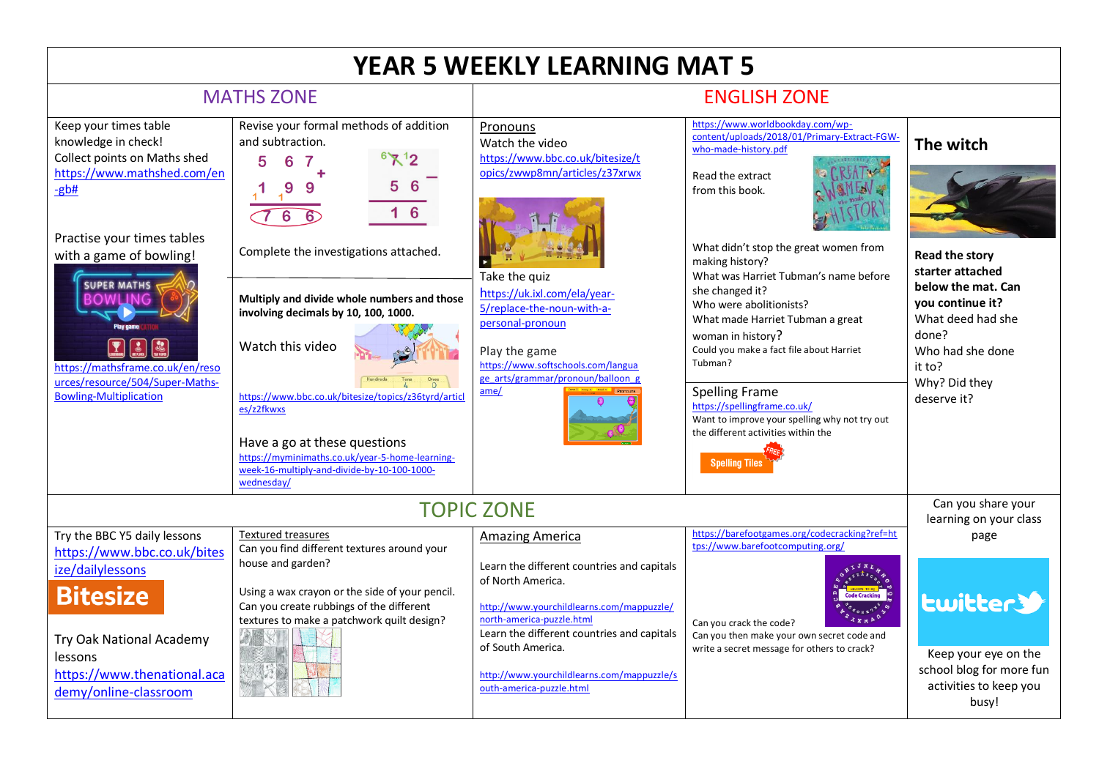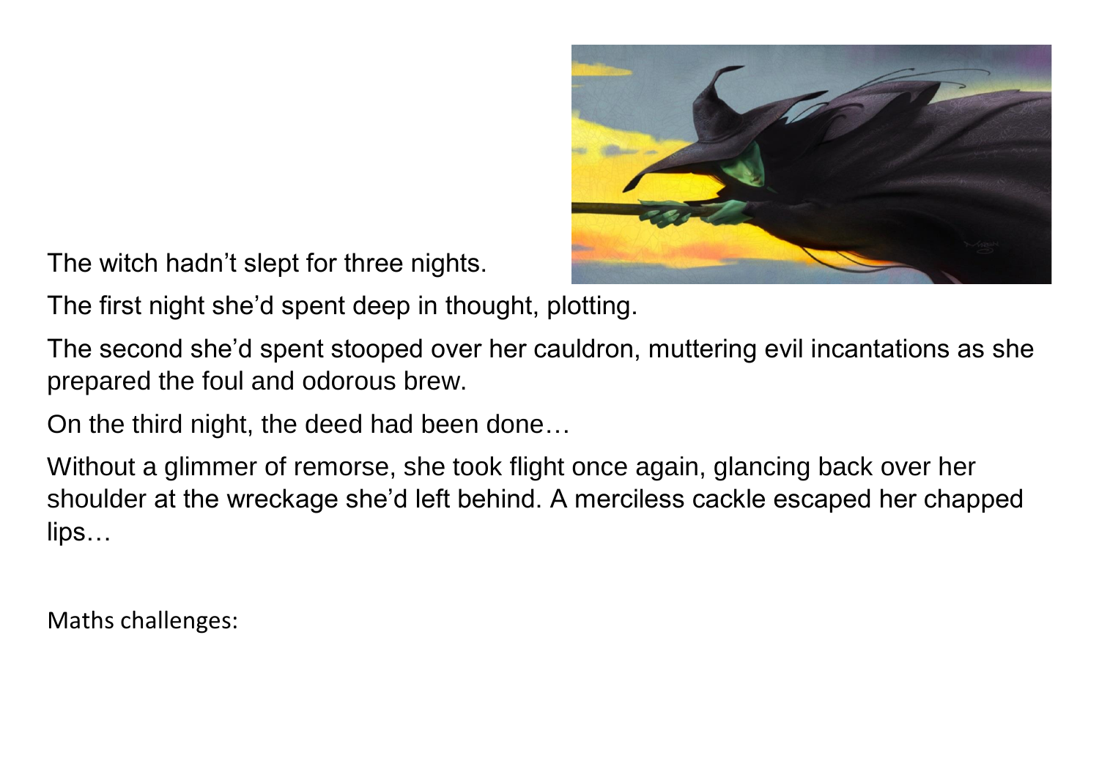

The witch hadn't slept for three nights.

The first night she'd spent deep in thought, plotting.

The second she'd spent stooped over her cauldron, muttering evil incantations as she prepared the foul and odorous brew.

On the third night, the deed had been done…

Without a glimmer of remorse, she took flight once again, glancing back over her shoulder at the wreckage she'd left behind. A merciless cackle escaped her chapped lips…

Maths challenges: